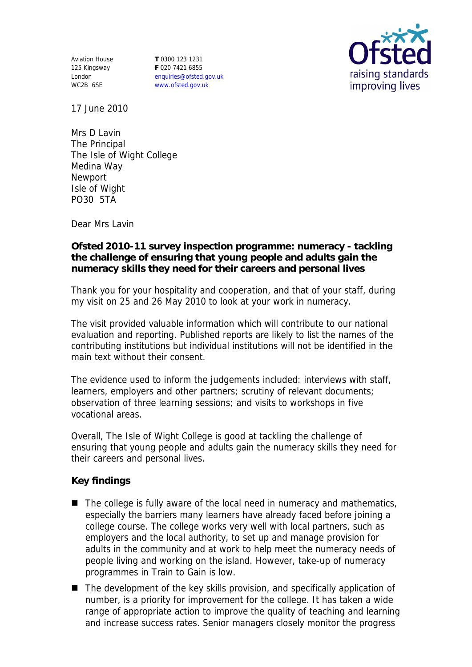Aviation House 125 Kingsway London WC2B 6SE

**T** 0300 123 1231 **F** 020 7421 6855 enquiries@ofsted.gov.uk www.ofsted.gov.uk



17 June 2010

Mrs D Lavin The Principal The Isle of Wight College Medina Way Newport Isle of Wight PO30 5TA

Dear Mrs Lavin

**Ofsted 2010-11 survey inspection programme: numeracy - tackling the challenge of ensuring that young people and adults gain the numeracy skills they need for their careers and personal lives**

Thank you for your hospitality and cooperation, and that of your staff, during my visit on 25 and 26 May 2010 to look at your work in numeracy.

The visit provided valuable information which will contribute to our national evaluation and reporting. Published reports are likely to list the names of the contributing institutions but individual institutions will not be identified in the main text without their consent.

The evidence used to inform the judgements included: interviews with staff, learners, employers and other partners; scrutiny of relevant documents; observation of three learning sessions; and visits to workshops in five vocational areas.

Overall, The Isle of Wight College is good at tackling the challenge of ensuring that young people and adults gain the numeracy skills they need for their careers and personal lives.

**Key findings**

- $\blacksquare$  The college is fully aware of the local need in numeracy and mathematics, especially the barriers many learners have already faced before joining a college course. The college works very well with local partners, such as employers and the local authority, to set up and manage provision for adults in the community and at work to help meet the numeracy needs of people living and working on the island. However, take-up of numeracy programmes in Train to Gain is low.
- The development of the key skills provision, and specifically application of number, is a priority for improvement for the college. It has taken a wide range of appropriate action to improve the quality of teaching and learning and increase success rates. Senior managers closely monitor the progress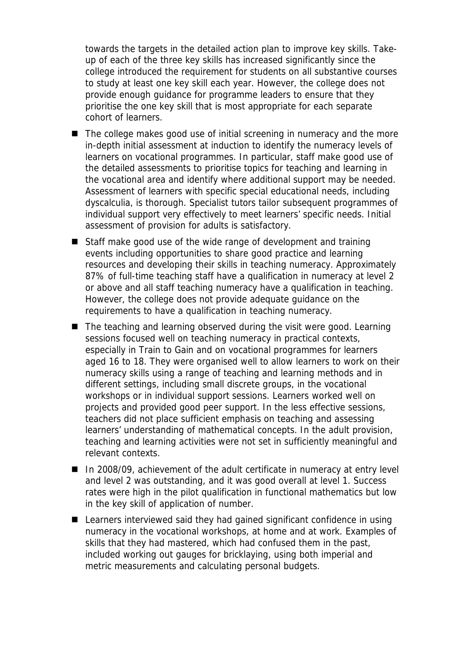towards the targets in the detailed action plan to improve key skills. Takeup of each of the three key skills has increased significantly since the college introduced the requirement for students on all substantive courses to study at least one key skill each year. However, the college does not provide enough guidance for programme leaders to ensure that they prioritise the one key skill that is most appropriate for each separate cohort of learners.

- The college makes good use of initial screening in numeracy and the more in-depth initial assessment at induction to identify the numeracy levels of learners on vocational programmes. In particular, staff make good use of the detailed assessments to prioritise topics for teaching and learning in the vocational area and identify where additional support may be needed. Assessment of learners with specific special educational needs, including dyscalculia, is thorough. Specialist tutors tailor subsequent programmes of individual support very effectively to meet learners' specific needs. Initial assessment of provision for adults is satisfactory.
- Staff make good use of the wide range of development and training events including opportunities to share good practice and learning resources and developing their skills in teaching numeracy. Approximately 87% of full-time teaching staff have a qualification in numeracy at level 2 or above and all staff teaching numeracy have a qualification in teaching. However, the college does not provide adequate guidance on the requirements to have a qualification in teaching numeracy.
- The teaching and learning observed during the visit were good. Learning sessions focused well on teaching numeracy in practical contexts, especially in Train to Gain and on vocational programmes for learners aged 16 to 18. They were organised well to allow learners to work on their numeracy skills using a range of teaching and learning methods and in different settings, including small discrete groups, in the vocational workshops or in individual support sessions. Learners worked well on projects and provided good peer support. In the less effective sessions, teachers did not place sufficient emphasis on teaching and assessing learners' understanding of mathematical concepts. In the adult provision, teaching and learning activities were not set in sufficiently meaningful and relevant contexts.
- In 2008/09, achievement of the adult certificate in numeracy at entry level and level 2 was outstanding, and it was good overall at level 1. Success rates were high in the pilot qualification in functional mathematics but low in the key skill of application of number.
- Learners interviewed said they had gained significant confidence in using numeracy in the vocational workshops, at home and at work. Examples of skills that they had mastered, which had confused them in the past, included working out gauges for bricklaying, using both imperial and metric measurements and calculating personal budgets.